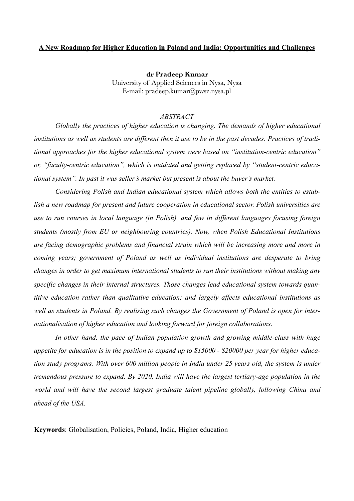# **A New Roadmap for Higher Education in Poland and India: Opportunities and Challenges**

**dr Pradeep Kumar**  University of Applied Sciences in Nysa, Nysa E-mail: pradeep.kumar@pwsz.nysa.pl

### *ABSTRACT*

*Globally the practices of higher education is changing. The demands of higher educational institutions as well as students are different then it use to be in the past decades. Practices of traditional approaches for the higher educational system were based on "institution-centric education" or, "faculty-centric education", which is outdated and getting replaced by "student-centric educational system". In past it was seller's market but present is about the buyer's market.* 

 *Considering Polish and Indian educational system which allows both the entities to establish a new roadmap for present and future cooperation in educational sector. Polish universities are use to run courses in local language (in Polish), and few in different languages focusing foreign students (mostly from EU or neighbouring countries). Now, when Polish Educational Institutions are facing demographic problems and financial strain which will be increasing more and more in coming years; government of Poland as well as individual institutions are desperate to bring changes in order to get maximum international students to run their institutions without making any specific changes in their internal structures. Those changes lead educational system towards quantitive education rather than qualitative education; and largely affects educational institutions as well as students in Poland. By realising such changes the Government of Poland is open for internationalisation of higher education and looking forward for foreign collaborations.* 

 *In other hand, the pace of Indian population growth and growing middle-class with huge appetite for education is in the position to expand up to \$15000 - \$20000 per year for higher education study programs. With over 600 million people in India under 25 years old, the system is under tremendous pressure to expand. By 2020, India will have the largest tertiary-age population in the world and will have the second largest graduate talent pipeline globally, following China and ahead of the USA.* 

**Keywords**: Globalisation, Policies, Poland, India, Higher education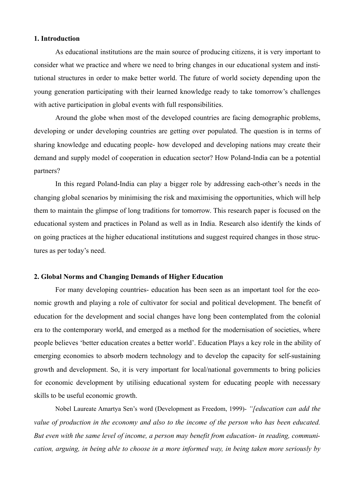#### **1. Introduction**

 As educational institutions are the main source of producing citizens, it is very important to consider what we practice and where we need to bring changes in our educational system and institutional structures in order to make better world. The future of world society depending upon the young generation participating with their learned knowledge ready to take tomorrow's challenges with active participation in global events with full responsibilities.

 Around the globe when most of the developed countries are facing demographic problems, developing or under developing countries are getting over populated. The question is in terms of sharing knowledge and educating people- how developed and developing nations may create their demand and supply model of cooperation in education sector? How Poland-India can be a potential partners?

 In this regard Poland-India can play a bigger role by addressing each-other's needs in the changing global scenarios by minimising the risk and maximising the opportunities, which will help them to maintain the glimpse of long traditions for tomorrow. This research paper is focused on the educational system and practices in Poland as well as in India. Research also identify the kinds of on going practices at the higher educational institutions and suggest required changes in those structures as per today's need.

## **2. Global Norms and Changing Demands of Higher Education**

 For many developing countries- education has been seen as an important tool for the economic growth and playing a role of cultivator for social and political development. The benefit of education for the development and social changes have long been contemplated from the colonial era to the contemporary world, and emerged as a method for the modernisation of societies, where people believes 'better education creates a better world'. Education Plays a key role in the ability of emerging economies to absorb modern technology and to develop the capacity for self-sustaining growth and development. So, it is very important for local/national governments to bring policies for economic development by utilising educational system for educating people with necessary skills to be useful economic growth.

Nobel Laureate Amartya Sen's word (Development as Freedom, 1999)- *"[education can add the value of production in the economy and also to the income of the person who has been educated. But even with the same level of income, a person may benefit from education- in reading, communication, arguing, in being able to choose in a more informed way, in being taken more seriously by*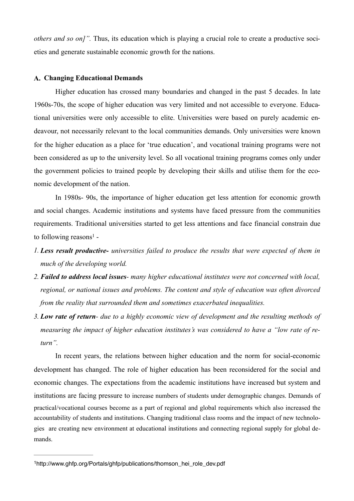*others and so on]"*. Thus, its education which is playing a crucial role to create a productive societies and generate sustainable economic growth for the nations.

#### **A. Changing Educational Demands**

 Higher education has crossed many boundaries and changed in the past 5 decades. In late 1960s-70s, the scope of higher education was very limited and not accessible to everyone. Educational universities were only accessible to elite. Universities were based on purely academic endeavour, not necessarily relevant to the local communities demands. Only universities were known for the higher education as a place for 'true education', and vocational training programs were not been considered as up to the university level. So all vocational training programs comes only under the government policies to trained people by developing their skills and utilise them for the economic development of the nation.

 In 1980s- 90s, the importance of higher education get less attention for economic growth and social changes. Academic institutions and systems have faced pressure from the communities requirements. Traditional universities started to get less attentions and face financial constrain due tofollowing reasons<sup>[1](#page-2-0)</sup> -

- <span id="page-2-1"></span>*1. Less result productive- universities failed to produce the results that were expected of them in much of the developing world.*
- *2. Failed to address local issues many higher educational institutes were not concerned with local, regional, or national issues and problems. The content and style of education was often divorced from the reality that surrounded them and sometimes exacerbated inequalities.*
- *3. Low rate of return due to a highly economic view of development and the resulting methods of measuring the impact of higher education institutes's was considered to have a "low rate of return".*

 In recent years, the relations between higher education and the norm for social-economic development has changed. The role of higher education has been reconsidered for the social and economic changes. The expectations from the academic institutions have increased but system and institutions are facing pressure to increase numbers of students under demographic changes. Demands of practical/vocational courses become as a part of regional and global requirements which also increased the accountability of students and institutions. Changing traditional class rooms and the impact of new technologies are creating new environment at educational institutions and connecting regional supply for global demands.

<span id="page-2-0"></span><sup>&</sup>lt;sup>1</sup>[http://www.ghfp.org/Portals/ghfp/publications/thomson\\_hei\\_role\\_dev.pdf](http://www.ghfp.org/Portals/ghfp/publications/thomson_hei_role_dev.pdf)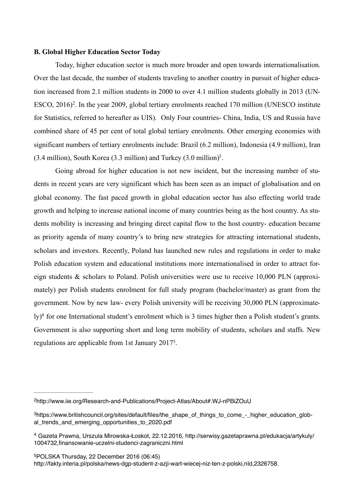#### **B. Global Higher Education Sector Today**

<span id="page-3-4"></span> Today, higher education sector is much more broader and open towards internationalisation. Over the last decade, the number of students traveling to another country in pursuit of higher education increased from 2.1 million students in 2000 to over 4.1 million students globally in 2013 (UN-ESCO,  $2016$  $2016$ <sup>2</sup>[.](#page-3-0) In the year 2009, global tertiary enrolments reached 170 million (UNESCO institute for Statistics, referred to hereafter as UIS). Only Four countries- China, India, US and Russia have combined share of 45 per cent of total global tertiary enrolments. Other emerging economies with significant numbers of tertiary enrolments include: Brazil (6.2 million), Indonesia (4.9 million), Iran ([3](#page-3-1).4 million), South Korea (3.3 million) and Turkey (3.0 million)<sup>3</sup>.

<span id="page-3-5"></span> Going abroad for higher education is not new incident, but the increasing number of students in recent years are very significant which has been seen as an impact of globalisation and on global economy. The fast paced growth in global education sector has also effecting world trade growth and helping to increase national income of many countries being as the host country. As students mobility is increasing and bringing direct capital flow to the host country- education became as priority agenda of many country's to bring new strategies for attracting international students, scholars and investors. Recently, Poland has launched new rules and regulations in order to make Polish education system and educational institutions more internationalised in order to attract foreign students & scholars to Poland. Polish universities were use to receive 10,000 PLN (approximately) per Polish students enrolment for full study program (bachelor/master) as grant from the government. Now by new law- every Polish university will be receiving 30,000 PLN (approximate-ly[\)](#page-3-2)<sup>[4](#page-3-2)</sup> for one International student's enrolment which is 3 times higher then a Polish student's grants. Government is also supporting short and long term mobility of students, scholars and staffs. New regulations are applicable from 1st January 2017<sup>5</sup>[.](#page-3-3)

<span id="page-3-7"></span><span id="page-3-6"></span><span id="page-3-0"></span>[<sup>2</sup>](#page-3-4)<http://www.iie.org/Research-and-Publications/Project-Atlas/About#.WJ-nPBiZOuU>

<span id="page-3-1"></span><sup>&</sup>lt;sup>3</sup>[https://www.britishcouncil.org/sites/default/files/the\\_shape\\_of\\_things\\_to\\_come\\_-\\_higher\\_education\\_glob](https://www.britishcouncil.org/sites/default/files/the_shape_of_things_to_come_-_higher_education_global_trends_and_emerging_opportunities_to_2020.pdf) al trends and emerging opportunities to 2020.pdf

<span id="page-3-2"></span>Gazeta Prawna, Urszula Mirowska-Ł[oskot, 22.12.2016, http://serwisy.gazetaprawna.pl/edukacja/artykuly/](http://serwisy.gazetaprawna.pl/edukacja/artykuly/1004732,finansowanie-uczelni-studenci-zagraniczni.html) [4](#page-3-6) 1004732,finansowanie-uczelni-studenci-zagraniczni.html

<span id="page-3-3"></span><sup>&</sup>lt;sup>5</sup>POLSKA [Thursday, 22 December 2016 \(06:45\)](http://fakty.interia.pl/newsroom,nDate,2016-12-22) [http://fakty.interia.pl/polska/news-dgp-student-z-azji-wart-wiecej-niz-ten-z-polski,nId,2326758.](http://fakty.interia.pl/polska/news-dgp-student-z-azji-wart-wiecej-niz-ten-z-polski,nId,2326758)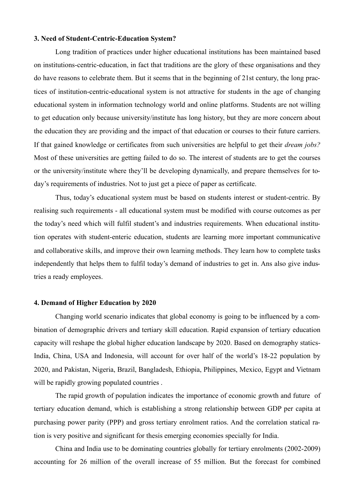#### **3. Need of Student-Centric-Education System?**

Long tradition of practices under higher educational institutions has been maintained based on institutions-centric-education, in fact that traditions are the glory of these organisations and they do have reasons to celebrate them. But it seems that in the beginning of 21st century, the long practices of institution-centric-educational system is not attractive for students in the age of changing educational system in information technology world and online platforms. Students are not willing to get education only because university/institute has long history, but they are more concern about the education they are providing and the impact of that education or courses to their future carriers. If that gained knowledge or certificates from such universities are helpful to get their *dream jobs?* Most of these universities are getting failed to do so. The interest of students are to get the courses or the university/institute where they'll be developing dynamically, and prepare themselves for today's requirements of industries. Not to just get a piece of paper as certificate.

 Thus, today's educational system must be based on students interest or student-centric. By realising such requirements - all educational system must be modified with course outcomes as per the today's need which will fulfil student's and industries requirements. When educational institution operates with student-enteric education, students are learning more important communicative and collaborative skills, and improve their own learning methods. They learn how to complete tasks independently that helps them to fulfil today's demand of industries to get in. Ans also give industries a ready employees.

#### **4. Demand of Higher Education by 2020**

 Changing world scenario indicates that global economy is going to be influenced by a combination of demographic drivers and tertiary skill education. Rapid expansion of tertiary education capacity will reshape the global higher education landscape by 2020. Based on demography statics-India, China, USA and Indonesia, will account for over half of the world's 18-22 population by 2020, and Pakistan, Nigeria, Brazil, Bangladesh, Ethiopia, Philippines, Mexico, Egypt and Vietnam will be rapidly growing populated countries.

 The rapid growth of population indicates the importance of economic growth and future of tertiary education demand, which is establishing a strong relationship between GDP per capita at purchasing power parity (PPP) and gross tertiary enrolment ratios. And the correlation statical ration is very positive and significant for thesis emerging economies specially for India.

 China and India use to be dominating countries globally for tertiary enrolments (2002-2009) accounting for 26 million of the overall increase of 55 million. But the forecast for combined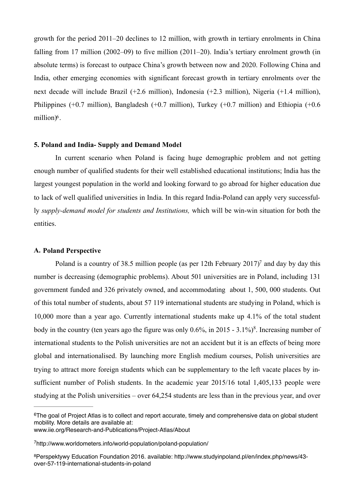growth for the period 2011–20 declines to 12 million, with growth in tertiary enrolments in China falling from 17 million (2002–09) to five million (2011–20). India's tertiary enrolment growth (in absolute terms) is forecast to outpace China's growth between now and 2020. Following China and India, other emerging economies with significant forecast growth in tertiary enrolments over the next decade will include Brazil (+2.6 million), Indonesia (+2.3 million), Nigeria (+1.4 million), Philippines (+0.7 million), Bangladesh (+0.7 million), Turkey (+0.7 million) and Ethiopia (+0.6 million $)$ <sup>[6](#page-5-0)</sup>.

#### <span id="page-5-3"></span>**5. Poland and India- Supply and Demand Model**

 In current scenario when Poland is facing huge demographic problem and not getting enough number of qualified students for their well established educational institutions; India has the largest youngest population in the world and looking forward to go abroad for higher education due to lack of well qualified universities in India. In this regard India-Poland can apply very successfully *supply-demand model for students and Institutions,* which will be win-win situation for both the entities.

#### **A. Poland Perspective**

<span id="page-5-5"></span><span id="page-5-4"></span>Poland is a country of 38.5 million people (as per 12th February 2017[\)](#page-5-1)<sup>[7](#page-5-1)</sup> and day by day this number is decreasing (demographic problems). About 501 universities are in Poland, including 131 government funded and 326 privately owned, and accommodating about 1, 500, 000 students. Out of this total number of students, about 57 119 international students are studying in Poland, which is 10,000 more than a year ago. Currently international students make up 4.1% of the total student body in the country (ten years ago the figure was only  $0.6\%$  $0.6\%$  $0.6\%$ , in 2015 -  $3.1\%$ <sup>[8](#page-5-2)</sup>. Increasing number of international students to the Polish universities are not an accident but it is an effects of being more global and internationalised. By launching more English medium courses, Polish universities are trying to attract more foreign students which can be supplementary to the left vacate places by insufficient number of Polish students. In the academic year 2015/16 total 1,405,133 people were studying at the Polish universities – over 64,254 students are less than in the previous year, and over

<span id="page-5-0"></span> $6$ The goal of Project Atlas is to collect and report accurate, timely and comprehensive data on global student mobility. More details are available at:

[www.iie.org/Research-and-Publications/Project-Atlas/About](http://www.iie.org/Research-and-Publications/Project-Atlas/About)

<span id="page-5-1"></span><http://www.worldometers.info/world-population/poland-population/> [7](#page-5-4)

<span id="page-5-2"></span>[Perspektywy Education Foundation 2016. available: http://www.studyinpoland.pl/en/index.php/news/43-](http://www.studyinpoland.pl/en/index.php/news/43-over-57-119-international-students-in-poland) [8](#page-5-5) over-57-119-international-students-in-poland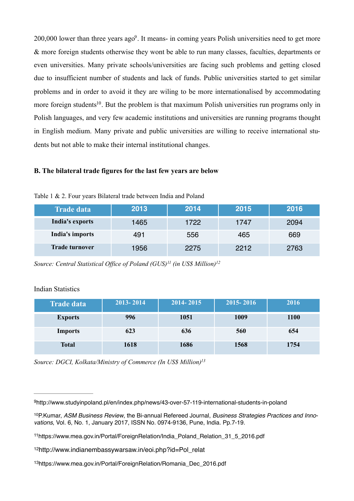<span id="page-6-5"></span>200,000 lower than three years  $a\alpha^9$  $a\alpha^9$ . It means- in coming years Polish universities need to get more & more foreign students otherwise they wont be able to run many classes, faculties, departments or even universities. Many private schools/universities are facing such problems and getting closed due to insufficient number of students and lack of funds. Public universities started to get similar problems and in order to avoid it they are wiling to be more internationalised by accommodating more foreign students<sup>[10](#page-6-1)</sup>. But the problem is that maximum Polish universities run programs only in Polish languages, and very few academic institutions and universities are running programs thought in English medium. Many private and public universities are willing to receive international students but not able to make their internal institutional changes.

#### <span id="page-6-6"></span>**B. The bilateral trade figures for the last few years are below**

| <b>Trade data</b>     | 2013 | 2014 | 2015 | 2016 |
|-----------------------|------|------|------|------|
| India's exports       | 1465 | 1722 | 1747 | 2094 |
| India's imports       | 491  | 556  | 465  | 669  |
| <b>Trade turnover</b> | 1956 | 2275 | 2212 | 2763 |

Table 1 & 2. Four years Bilateral trade between India and Poland

<span id="page-6-8"></span><span id="page-6-7"></span>*Source: Central Statistical Office of Poland (GUS)<sup>11</sup> (in US\$ Million)*<sup>[12](#page-6-3)</sup>

#### Indian Statistics

| <b>Trade data</b> | 2013-2014 | $2014 - 2015$ | 2015-2016 | 2016        |
|-------------------|-----------|---------------|-----------|-------------|
| <b>Exports</b>    | 996       | 1051          | 1009      | <b>1100</b> |
| <b>Imports</b>    | 623       | 636           | 560       | 654         |
| <b>Total</b>      | 1618      | 1686          | 1568      | 1754        |

<span id="page-6-9"></span>*Source: DGCI, Kolkata/Ministry of Commerce (In US\$ Million[\)13](#page-6-4)*

<span id="page-6-0"></span><sup>&</sup>lt;sup>9</sup><http://www.studyinpoland.pl/en/index.php/news/43-over-57-119-international-students-in-poland>

<span id="page-6-1"></span><sup>&</sup>lt;sup>[10](#page-6-6)</sup> P. Kumar, *ASM Business Review*, the Bi-annual Refereed Journal, *Business Strategies Practices and Innovations*, Vol. 6, No. 1, January 2017, ISSN No. 0974-9136, Pune, India. Pp.7-19.

<span id="page-6-2"></span><sup>&</sup>lt;sup>11</sup>[https://www.mea.gov.in/Portal/ForeignRelation/India\\_Poland\\_Relation\\_31\\_5\\_2016.pdf](https://www.mea.gov.in/Portal/ForeignRelation/India_Poland_Relation_31_5_2016.pdf)

<span id="page-6-3"></span><sup>&</sup>lt;sup>12</sup>[http://www.indianembassywarsaw.in/eoi.php?id=Pol\\_relat](http://www.indianembassywarsaw.in/eoi.php?id=Pol_relat)

<span id="page-6-4"></span><sup>&</sup>lt;sup>13</sup>[https://www.mea.gov.in/Portal/ForeignRelation/Romania\\_Dec\\_2016.pdf](https://www.mea.gov.in/Portal/ForeignRelation/Romania_Dec_2016.pdf)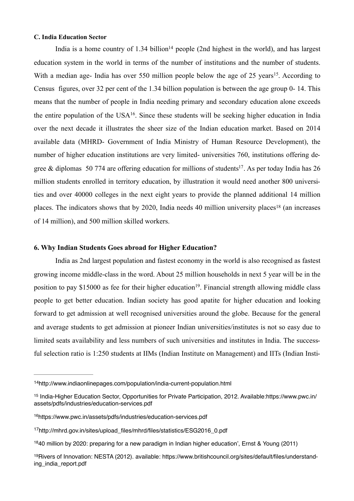#### **C. India Education Sector**

<span id="page-7-8"></span><span id="page-7-7"></span><span id="page-7-6"></span>I[n](#page-7-0)dia is a home country of 1.34 billion<sup> $14$ </sup> people (2nd highest in the world), and has largest education system in the world in terms of the number of institutions and the number of students. With a median age- India has over 550 million people below the age of 25 years<sup>15</sup>[.](#page-7-1) According to Census figures, over 32 per cent of the 1.34 billion population is between the age group 0- 14. This means that the number of people in India needing primary and secondary education alone exceeds the entire population of the  $USA^{16}$  $USA^{16}$  $USA^{16}$ [.](#page-7-2) Since these students will be seeking higher education in India over the next decade it illustrates the sheer size of the Indian education market. Based on 2014 available data (MHRD- Government of India Ministry of Human Resource Development), the number of higher education institutions are very limited- universities 760, institutions offering de-gree & diplomas 50 774 are offering education for millions of students<sup>[17](#page-7-3)</sup>. As per today India has 26 million students enrolled in territory education, by illustration it would need another 800 universities and over 40000 colleges in the next eight years to provide the planned additional 14 million places.The indicators shows that by 2020, India needs 40 million university places<sup>[18](#page-7-4)</sup> (an increases of 14 million), and 500 million skilled workers.

#### <span id="page-7-10"></span><span id="page-7-9"></span>**6. Why Indian Students Goes abroad for Higher Education?**

<span id="page-7-11"></span> India as 2nd largest population and fastest economy in the world is also recognised as fastest growing income middle-class in the word. About 25 million households in next 5 year will be in the position to pay \$15000 as fee for their higher education<sup>[19](#page-7-5)</sup>. Financial strength allowing middle class people to get better education. Indian society has good apatite for higher education and looking forward to get admission at well recognised universities around the globe. Because for the general and average students to get admission at pioneer Indian universities/institutes is not so easy due to limited seats availability and less numbers of such universities and institutes in India. The successful selection ratio is 1:250 students at IIMs (Indian Institute on Management) and IITs (Indian Insti-

<span id="page-7-0"></span><sup>&</sup>lt;sup>14</sup><http://www.indiaonlinepages.com/population/india-current-population.html>

<span id="page-7-1"></span><sup>&</sup>lt;sup>15</sup> [India-Higher Education Sector, Opportunities for Private Participation, 2012. Available:https://www.pwc.in/](http://www.pwc.in/assets/pdfs/industries/education-services.pdf) assets/pdfs/industries/education-services.pdf

<span id="page-7-2"></span><sup>&</sup>lt;sup>16</sup><https://www.pwc.in/assets/pdfs/industries/education-services.pdf>

<span id="page-7-3"></span><sup>&</sup>lt;sup>17</sup>[http://mhrd.gov.in/sites/upload\\_files/mhrd/files/statistics/ESG2016\\_0.pdf](http://mhrd.gov.in/sites/upload_files/mhrd/files/statistics/ESG2016_0.pdf)

<span id="page-7-4"></span> $1840$  $1840$  million by 2020: preparing for a new paradigm in Indian higher education', Ernst & Young (2011)

<span id="page-7-5"></span><sup>&</sup>lt;sup>19</sup>[Rivers of Innovation: NESTA \(2012\). available: https://www.britishcouncil.org/sites/default/files/understand](https://www.britishcouncil.org/sites/default/files/understanding_india_report.pdf)ing\_india\_report.pdf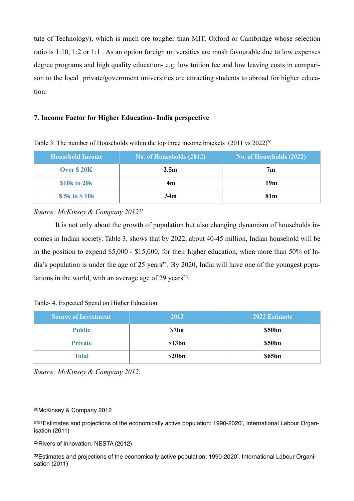tute of Technology), which is much ore tougher than MIT, Oxford or Cambridge whose selection ratio is 1:10, 1:2 or 1:1 . As an option foreign universities are mush favourable due to low expenses degree programs and high quality education- e.g. low tuition fee and low leaving costs in comparison to the local private/government universities are attracting students to abroad for higher education.

## **7. Income Factor for Higher Education- India perspective**

| Household Income | No. of Households (2012) | No. of Households (2022) |
|------------------|--------------------------|--------------------------|
| Over \$20K       | 2.5 <sub>m</sub>         | 7 <sub>m</sub>           |
| \$10k to 20k     | 4m                       | 19m                      |
| \$5k to \$10k    | 34m                      | 81 <sub>m</sub>          |

<span id="page-8-4"></span>Table 3. The number of Households within the top three income brackets  $(2011 \text{ vs } 2022)^{20}$ 

## <span id="page-8-5"></span>*Source: McKinsey & Company 201[221](#page-8-1)*

 It is not only about the growth of population but also changing dynamism of households incomes in Indian society. Table 3, shows that by 2022, about 40-45 million, Indian household will be in the position to expend \$5,000 - \$15,000, for their higher education, when more than 50% of India's population is under the age of 25 years<sup>22</sup>. By 2020, India will have one of the youngest populations in the world, with an average age of  $29$  years<sup>[23](#page-8-3)</sup>.

<span id="page-8-7"></span><span id="page-8-6"></span>

|  |  |  |  | Table- 4. Expected Spend on Higher Education |
|--|--|--|--|----------------------------------------------|
|--|--|--|--|----------------------------------------------|

| <b>Source of Investment</b> | 2012   | 2022 Estimate |
|-----------------------------|--------|---------------|
| <b>Public</b>               | \$7bn  | \$50bn        |
| <b>Private</b>              | \$13bn | \$50bn        |
| <b>Total</b>                | \$20bn | \$65bn        |

*Source: McKinsey & Company 2012.* 

<span id="page-8-0"></span><sup>&</sup>lt;sup>[20](#page-8-4)</sup>McKinsey & Company 2012

<span id="page-8-1"></span><sup>&</sup>lt;sup>[2121](#page-8-5)</sup> Estimates and projections of the economically active population: 1990-2020', International Labour Organisation (2011)

<span id="page-8-2"></span><sup>&</sup>lt;sup>[22](#page-8-6)</sup>Rivers of Innovation: NESTA (2012)

<span id="page-8-3"></span><sup>&</sup>lt;sup>[23](#page-8-7)</sup> Estimates and projections of the economically active population: 1990-2020', International Labour Organisation (2011)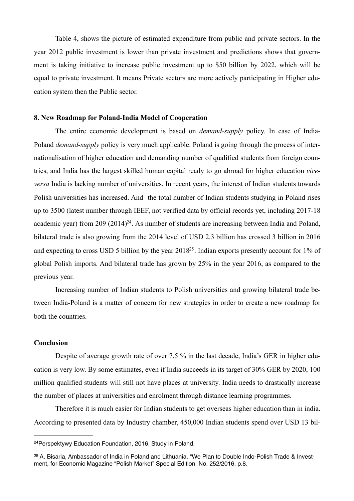Table 4, shows the picture of estimated expenditure from public and private sectors. In the year 2012 public investment is lower than private investment and predictions shows that government is taking initiative to increase public investment up to \$50 billion by 2022, which will be equal to private investment. It means Private sectors are more actively participating in Higher education system then the Public sector.

#### **8. New Roadmap for Poland-India Model of Cooperation**

 The entire economic development is based on *demand-supply* policy. In case of India-Poland *demand-supply* policy is very much applicable. Poland is going through the process of internationalisation of higher education and demanding number of qualified students from foreign countries, and India has the largest skilled human capital ready to go abroad for higher education *viceversa* India is lacking number of universities. In recent years, the interest of Indian students towards Polish universities has increased. And the total number of Indian students studying in Poland rises up to 3500 (latest number through IEEF, not verified data by official records yet, including 2017-18 academic year) from 209  $(2014)^{24}$  $(2014)^{24}$  $(2014)^{24}$ . As number of students are increasing between India and Poland, bilateral trade is also growing from the 2014 level of USD 2.3 billion has crossed 3 billion in 2016 and expecting to cross USD 5 billion by the year  $2018^{25}$  $2018^{25}$  $2018^{25}$ . Indian exports presently account for 1% of global Polish imports. And bilateral trade has grown by 25% in the year 2016, as compared to the previous year.

<span id="page-9-3"></span><span id="page-9-2"></span> Increasing number of Indian students to Polish universities and growing bilateral trade between India-Poland is a matter of concern for new strategies in order to create a new roadmap for both the countries.

## **Conclusion**

 Despite of average growth rate of over 7.5 % in the last decade, India's GER in higher education is very low. By some estimates, even if India succeeds in its target of 30% GER by 2020, 100 million qualified students will still not have places at university. India needs to drastically increase the number of places at universities and enrolment through distance learning programmes.

 Therefore it is much easier for Indian students to get overseas higher education than in india. According to presented data by Industry chamber, 450,000 Indian students spend over USD 13 bil-

<span id="page-9-0"></span><sup>&</sup>lt;sup>[24](#page-9-2)</sup> Perspektywy Education Foundation, 2016, Study in Poland.

<span id="page-9-1"></span><sup>&</sup>lt;sup>[25](#page-9-3)</sup> A. Bisaria, Ambassador of India in Poland and Lithuania, "We Plan to Double Indo-Polish Trade & Investment, for Economic Magazine "Polish Market" Special Edition, No. 252/2016, p.8.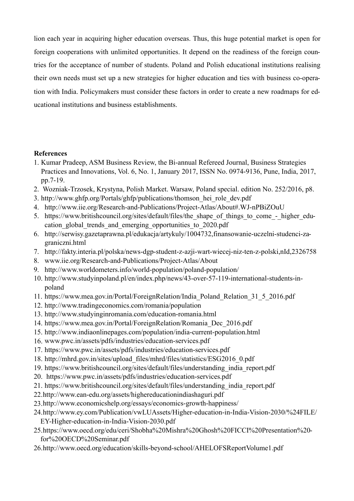lion each year in acquiring higher education overseas. Thus, this huge potential market is open for foreign cooperations with unlimited opportunities. It depend on the readiness of the foreign countries for the acceptance of number of students. Poland and Polish educational institutions realising their own needs must set up a new strategies for higher education and ties with business co-operation with India. Policymakers must consider these factors in order to create a new roadmaps for educational institutions and business establishments.

# **References**

- 1. Kumar Pradeep, ASM Business Review, the Bi-annual Refereed Journal, Business Strategies Practices and Innovations, Vol. 6, No. 1, January 2017, ISSN No. 0974-9136, Pune, India, 2017, pp.7-19.
- 2. Wozniak-Trzosek, Krystyna, Polish Market. Warsaw, Poland special. edition No. 252/2016, p8.
- 3. [http://www.ghfp.org/Portals/ghfp/publications/thomson\\_hei\\_role\\_dev.pdf](http://www.ghfp.org/Portals/ghfp/publications/thomson_hei_role_dev.pdf)
- 4. <http://www.iie.org/Research-and-Publications/Project-Atlas/About#.WJ-nPBiZOuU>
- 5. [https://www.britishcouncil.org/sites/default/files/the\\_shape\\_of\\_things\\_to\\_come\\_-\\_higher\\_edu](https://www.britishcouncil.org/sites/default/files/the_shape_of_things_to_come_-_higher_education_global_trends_and_emerging_opportunities_to_2020.pdf)cation\_global\_trends\_and\_emerging\_opportunities\_to\_2020.pdf
- 6. [http://serwisy.gazetaprawna.pl/edukacja/artykuly/1004732,finansowanie-uczelni-studenci-za](http://serwisy.gazetaprawna.pl/edukacja/artykuly/1004732,finansowanie-uczelni-studenci-zagraniczni.html)graniczni.html
- 7. <http://fakty.interia.pl/polska/news-dgp-student-z-azji-wart-wiecej-niz-ten-z-polski,nId,2326758>
- 8. [www.iie.org/Research-and-Publications/Project-Atlas/About](http://www.iie.org/Research-and-Publications/Project-Atlas/About)
- 9. <http://www.worldometers.info/world-population/poland-population/>
- 10. [http://www.studyinpoland.pl/en/index.php/news/43-over-57-119-international-students-in](http://www.studyinpoland.pl/en/index.php/news/43-over-57-119-international-students-in-poland)poland
- 11. [https://www.mea.gov.in/Portal/ForeignRelation/India\\_Poland\\_Relation\\_31\\_5\\_2016.pdf](https://www.mea.gov.in/Portal/ForeignRelation/India_Poland_Relation_31_5_2016.pdf)
- 12. <http://www.tradingeconomics.com/romania/population>
- 13. <http://www.studyinginromania.com/education-romania.html>
- 14. [https://www.mea.gov.in/Portal/ForeignRelation/Romania\\_Dec\\_2016.pdf](https://www.mea.gov.in/Portal/ForeignRelation/Romania_Dec_2016.pdf)
- 15. <http://www.indiaonlinepages.com/population/india-current-population.html>
- 16. [www.pwc.in/assets/pdfs/industries/education-services.pdf](http://www.pwc.in/assets/pdfs/industries/education-services.pdf)
- 17. <https://www.pwc.in/assets/pdfs/industries/education-services.pdf>
- 18. [http://mhrd.gov.in/sites/upload\\_files/mhrd/files/statistics/ESG2016\\_0.pdf](http://mhrd.gov.in/sites/upload_files/mhrd/files/statistics/ESG2016_0.pdf)
- 19. [https://www.britishcouncil.org/sites/default/files/understanding\\_india\\_report.pdf](https://www.britishcouncil.org/sites/default/files/understanding_india_report.pdf)
- 20. <https://www.pwc.in/assets/pdfs/industries/education-services.pdf>
- 21. [https://www.britishcouncil.org/sites/default/files/understanding\\_india\\_report.pdf](https://www.britishcouncil.org/sites/default/files/understanding_india_report.pdf)
- 22.<http://www.ean-edu.org/assets/highereducationindiashaguri.pdf>
- 23.<http://www.economicshelp.org/essays/economics-growth-happiness/>
- 2[4.http://www.ey.com/Publication/vwLUAssets/Higher-education-in-India-Vision-2030/%24FILE/](http://www.ey.com/Publication/vwLUAssets/Higher-education-in-India-Vision-2030/%24FILE/EY-Higher-education-in-India-Vision-2030.pdf) EY-Higher-education-in-India-Vision-2030.pdf
- 2[5.https://www.oecd.org/edu/ceri/Shobha%20Mishra%20Ghosh%20FICCI%20Presentation%20](https://www.oecd.org/edu/ceri/Shobha%20Mishra%20Ghosh%20FICCI%20Presentation%20for%20OECD%20Seminar.pdf) for%20OECD%20Seminar.pdf
- 26.<http://www.oecd.org/education/skills-beyond-school/AHELOFSReportVolume1.pdf>